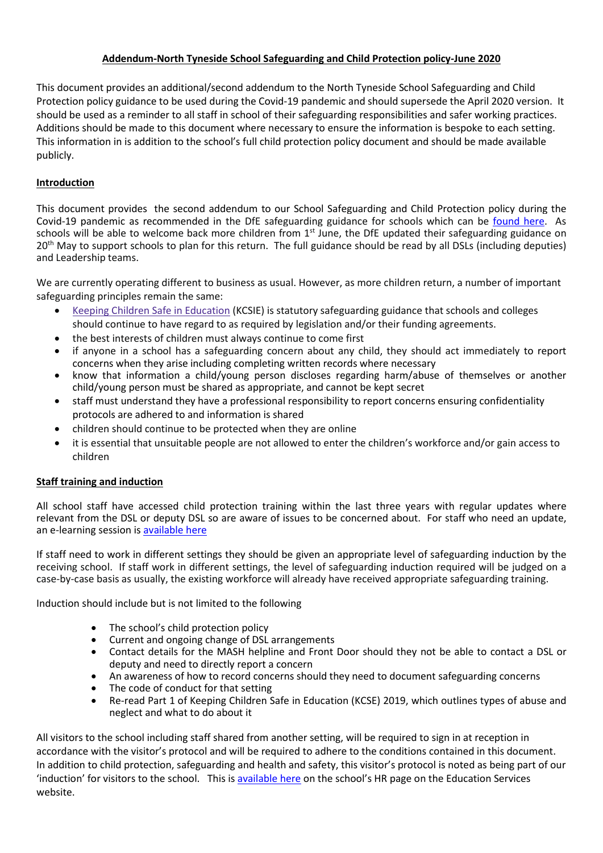## Addendum-North Tyneside School Safeguarding and Child Protection policy-June 2020

This document provides an additional/second addendum to the North Tyneside School Safeguarding and Child Protection policy guidance to be used during the Covid-19 pandemic and should supersede the April 2020 version. It should be used as a reminder to all staff in school of their safeguarding responsibilities and safer working practices. Additions should be made to this document where necessary to ensure the information is bespoke to each setting. This information in is addition to the school's full child protection policy document and should be made available publicly.

# Introduction

This document provides the second addendum to our School Safeguarding and Child Protection policy during the Covid-19 pandemic as recommended in the DfE safeguarding guidance for schools which can be found here. As schools will be able to welcome back more children from 1<sup>st</sup> June, the DfE updated their safeguarding guidance on 20<sup>th</sup> May to support schools to plan for this return. The full guidance should be read by all DSLs (including deputies) and Leadership teams.

We are currently operating different to business as usual. However, as more children return, a number of important safeguarding principles remain the same:

- Keeping Children Safe in Education (KCSIE) is statutory safeguarding guidance that schools and colleges should continue to have regard to as required by legislation and/or their funding agreements.
- the best interests of children must always continue to come first
- if anyone in a school has a safeguarding concern about any child, they should act immediately to report concerns when they arise including completing written records where necessary
- know that information a child/young person discloses regarding harm/abuse of themselves or another child/young person must be shared as appropriate, and cannot be kept secret
- staff must understand they have a professional responsibility to report concerns ensuring confidentiality protocols are adhered to and information is shared
- children should continue to be protected when they are online
- it is essential that unsuitable people are not allowed to enter the children's workforce and/or gain access to children

## Staff training and induction

All school staff have accessed child protection training within the last three years with regular updates where relevant from the DSL or deputy DSL so are aware of issues to be concerned about. For staff who need an update, an e-learning session is available here

If staff need to work in different settings they should be given an appropriate level of safeguarding induction by the receiving school. If staff work in different settings, the level of safeguarding induction required will be judged on a case-by-case basis as usually, the existing workforce will already have received appropriate safeguarding training.

Induction should include but is not limited to the following

- The school's child protection policy
- Current and ongoing change of DSL arrangements
- Contact details for the MASH helpline and Front Door should they not be able to contact a DSL or deputy and need to directly report a concern
- An awareness of how to record concerns should they need to document safeguarding concerns
- The code of conduct for that setting
- Re-read Part 1 of Keeping Children Safe in Education (KCSE) 2019, which outlines types of abuse and neglect and what to do about it

All visitors to the school including staff shared from another setting, will be required to sign in at reception in accordance with the visitor's protocol and will be required to adhere to the conditions contained in this document. In addition to child protection, safeguarding and health and safety, this visitor's protocol is noted as being part of our 'induction' for visitors to the school. This is available here on the school's HR page on the Education Services website.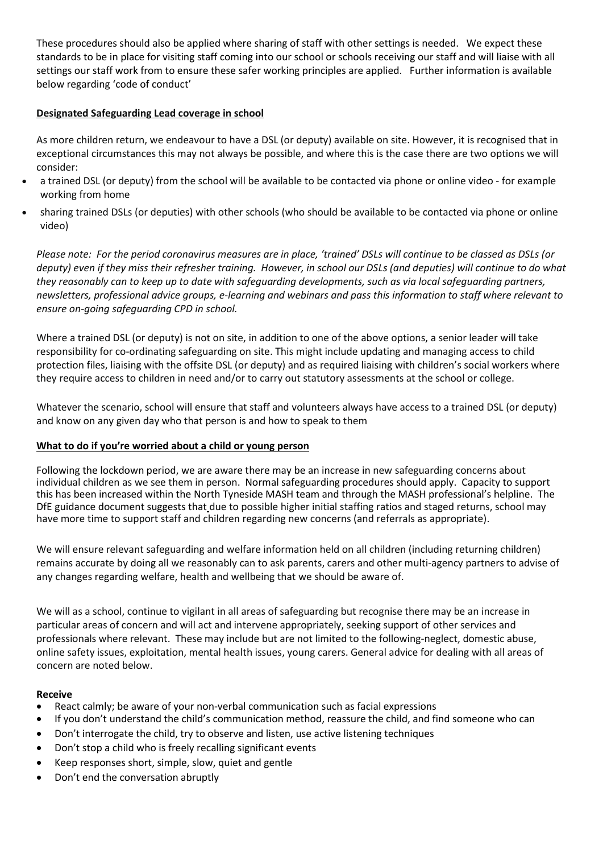These procedures should also be applied where sharing of staff with other settings is needed. We expect these standards to be in place for visiting staff coming into our school or schools receiving our staff and will liaise with all settings our staff work from to ensure these safer working principles are applied. Further information is available below regarding 'code of conduct'

## Designated Safeguarding Lead coverage in school

As more children return, we endeavour to have a DSL (or deputy) available on site. However, it is recognised that in exceptional circumstances this may not always be possible, and where this is the case there are two options we will consider:

- a trained DSL (or deputy) from the school will be available to be contacted via phone or online video for example working from home
- sharing trained DSLs (or deputies) with other schools (who should be available to be contacted via phone or online video)

Please note: For the period coronavirus measures are in place, 'trained' DSLs will continue to be classed as DSLs (or deputy) even if they miss their refresher training. However, in school our DSLs (and deputies) will continue to do what they reasonably can to keep up to date with safeguarding developments, such as via local safeguarding partners, newsletters, professional advice groups, e-learning and webinars and pass this information to staff where relevant to ensure on-going safeguarding CPD in school.

Where a trained DSL (or deputy) is not on site, in addition to one of the above options, a senior leader will take responsibility for co-ordinating safeguarding on site. This might include updating and managing access to child protection files, liaising with the offsite DSL (or deputy) and as required liaising with children's social workers where they require access to children in need and/or to carry out statutory assessments at the school or college.

Whatever the scenario, school will ensure that staff and volunteers always have access to a trained DSL (or deputy) and know on any given day who that person is and how to speak to them

### What to do if you're worried about a child or young person

Following the lockdown period, we are aware there may be an increase in new safeguarding concerns about individual children as we see them in person. Normal safeguarding procedures should apply. Capacity to support this has been increased within the North Tyneside MASH team and through the MASH professional's helpline. The DfE guidance document suggests that due to possible higher initial staffing ratios and staged returns, school may have more time to support staff and children regarding new concerns (and referrals as appropriate).

We will ensure relevant safeguarding and welfare information held on all children (including returning children) remains accurate by doing all we reasonably can to ask parents, carers and other multi-agency partners to advise of any changes regarding welfare, health and wellbeing that we should be aware of.

We will as a school, continue to vigilant in all areas of safeguarding but recognise there may be an increase in particular areas of concern and will act and intervene appropriately, seeking support of other services and professionals where relevant. These may include but are not limited to the following-neglect, domestic abuse, online safety issues, exploitation, mental health issues, young carers. General advice for dealing with all areas of concern are noted below.

### Receive

- React calmly; be aware of your non-verbal communication such as facial expressions
- If you don't understand the child's communication method, reassure the child, and find someone who can
- Don't interrogate the child, try to observe and listen, use active listening techniques
- Don't stop a child who is freely recalling significant events
- Keep responses short, simple, slow, quiet and gentle
- Don't end the conversation abruptly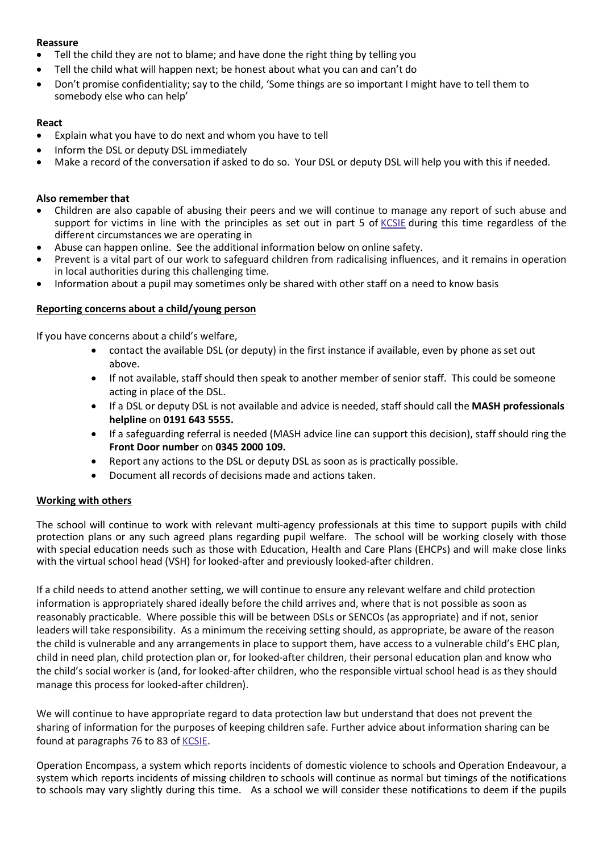## Reassure

- Tell the child they are not to blame; and have done the right thing by telling you
- Tell the child what will happen next; be honest about what you can and can't do
- Don't promise confidentiality; say to the child, 'Some things are so important I might have to tell them to somebody else who can help'

### React

- Explain what you have to do next and whom you have to tell
- Inform the DSL or deputy DSL immediately
- Make a record of the conversation if asked to do so. Your DSL or deputy DSL will help you with this if needed.

### Also remember that

- Children are also capable of abusing their peers and we will continue to manage any report of such abuse and support for victims in line with the principles as set out in part 5 of KCSIE during this time regardless of the different circumstances we are operating in
- Abuse can happen online. See the additional information below on online safety.
- Prevent is a vital part of our work to safeguard children from radicalising influences, and it remains in operation in local authorities during this challenging time.
- Information about a pupil may sometimes only be shared with other staff on a need to know basis

## Reporting concerns about a child/young person

If you have concerns about a child's welfare,

- contact the available DSL (or deputy) in the first instance if available, even by phone as set out above.
- If not available, staff should then speak to another member of senior staff. This could be someone acting in place of the DSL.
- If a DSL or deputy DSL is not available and advice is needed, staff should call the MASH professionals helpline on 0191 643 5555.
- If a safeguarding referral is needed (MASH advice line can support this decision), staff should ring the Front Door number on 0345 2000 109.
- Report any actions to the DSL or deputy DSL as soon as is practically possible.
- Document all records of decisions made and actions taken.

### Working with others

The school will continue to work with relevant multi-agency professionals at this time to support pupils with child protection plans or any such agreed plans regarding pupil welfare. The school will be working closely with those with special education needs such as those with Education, Health and Care Plans (EHCPs) and will make close links with the virtual school head (VSH) for looked-after and previously looked-after children.

If a child needs to attend another setting, we will continue to ensure any relevant welfare and child protection information is appropriately shared ideally before the child arrives and, where that is not possible as soon as reasonably practicable. Where possible this will be between DSLs or SENCOs (as appropriate) and if not, senior leaders will take responsibility. As a minimum the receiving setting should, as appropriate, be aware of the reason the child is vulnerable and any arrangements in place to support them, have access to a vulnerable child's EHC plan, child in need plan, child protection plan or, for looked-after children, their personal education plan and know who the child's social worker is (and, for looked-after children, who the responsible virtual school head is as they should manage this process for looked-after children).

We will continue to have appropriate regard to data protection law but understand that does not prevent the sharing of information for the purposes of keeping children safe. Further advice about information sharing can be found at paragraphs 76 to 83 of KCSIE.

Operation Encompass, a system which reports incidents of domestic violence to schools and Operation Endeavour, a system which reports incidents of missing children to schools will continue as normal but timings of the notifications to schools may vary slightly during this time. As a school we will consider these notifications to deem if the pupils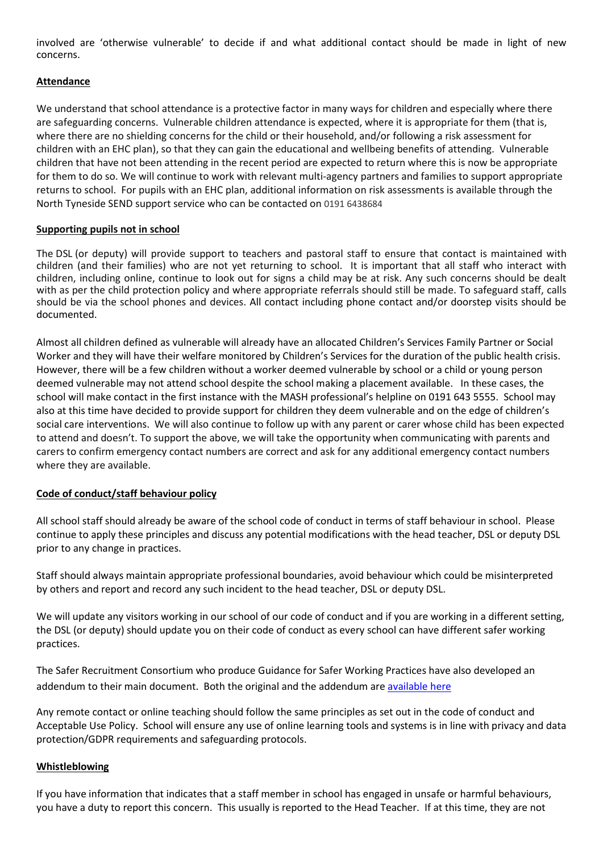involved are 'otherwise vulnerable' to decide if and what additional contact should be made in light of new concerns.

## Attendance

We understand that school attendance is a protective factor in many ways for children and especially where there are safeguarding concerns. Vulnerable children attendance is expected, where it is appropriate for them (that is, where there are no shielding concerns for the child or their household, and/or following a risk assessment for children with an EHC plan), so that they can gain the educational and wellbeing benefits of attending. Vulnerable children that have not been attending in the recent period are expected to return where this is now be appropriate for them to do so. We will continue to work with relevant multi-agency partners and families to support appropriate returns to school. For pupils with an EHC plan, additional information on risk assessments is available through the North Tyneside SEND support service who can be contacted on 0191 6438684

## Supporting pupils not in school

The DSL (or deputy) will provide support to teachers and pastoral staff to ensure that contact is maintained with children (and their families) who are not yet returning to school. It is important that all staff who interact with children, including online, continue to look out for signs a child may be at risk. Any such concerns should be dealt with as per the child protection policy and where appropriate referrals should still be made. To safeguard staff, calls should be via the school phones and devices. All contact including phone contact and/or doorstep visits should be documented.

Almost all children defined as vulnerable will already have an allocated Children's Services Family Partner or Social Worker and they will have their welfare monitored by Children's Services for the duration of the public health crisis. However, there will be a few children without a worker deemed vulnerable by school or a child or young person deemed vulnerable may not attend school despite the school making a placement available. In these cases, the school will make contact in the first instance with the MASH professional's helpline on 0191 643 5555. School may also at this time have decided to provide support for children they deem vulnerable and on the edge of children's social care interventions. We will also continue to follow up with any parent or carer whose child has been expected to attend and doesn't. To support the above, we will take the opportunity when communicating with parents and carers to confirm emergency contact numbers are correct and ask for any additional emergency contact numbers where they are available.

### Code of conduct/staff behaviour policy

All school staff should already be aware of the school code of conduct in terms of staff behaviour in school. Please continue to apply these principles and discuss any potential modifications with the head teacher, DSL or deputy DSL prior to any change in practices.

Staff should always maintain appropriate professional boundaries, avoid behaviour which could be misinterpreted by others and report and record any such incident to the head teacher, DSL or deputy DSL.

We will update any visitors working in our school of our code of conduct and if you are working in a different setting, the DSL (or deputy) should update you on their code of conduct as every school can have different safer working practices.

The Safer Recruitment Consortium who produce Guidance for Safer Working Practices have also developed an addendum to their main document. Both the original and the addendum are available here

Any remote contact or online teaching should follow the same principles as set out in the code of conduct and Acceptable Use Policy. School will ensure any use of online learning tools and systems is in line with privacy and data protection/GDPR requirements and safeguarding protocols.

### Whistleblowing

If you have information that indicates that a staff member in school has engaged in unsafe or harmful behaviours, you have a duty to report this concern. This usually is reported to the Head Teacher. If at this time, they are not